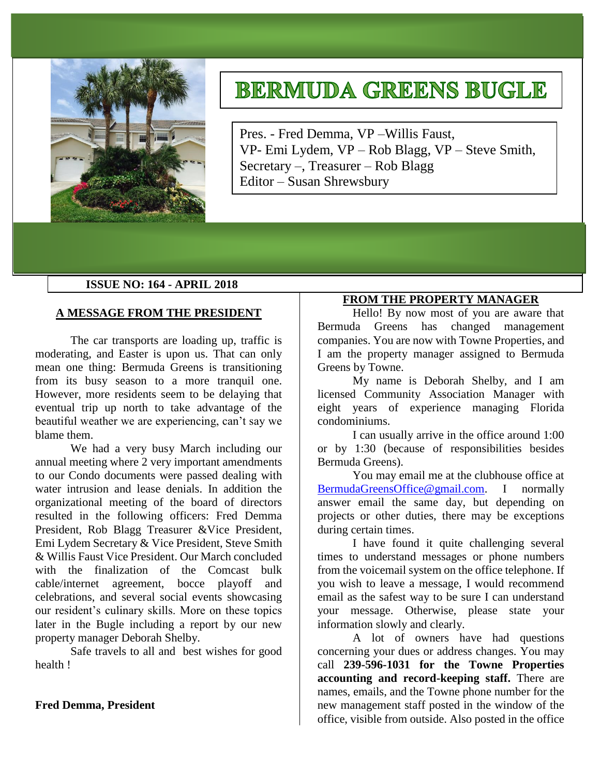

# **BERMUDA GREENS BUGLE**

Pres. - Fred Demma, VP –Willis Faust, VP- Emi Lydem, VP – Rob Blagg, VP – Steve Smith, Secretary –, Treasurer – Rob Blagg Editor – Susan Shrewsbury

## **ISSUE NO: 164 - APRIL 2018**

## **A MESSAGE FROM THE PRESIDENT**

The car transports are loading up, traffic is moderating, and Easter is upon us. That can only mean one thing: Bermuda Greens is transitioning from its busy season to a more tranquil one. However, more residents seem to be delaying that eventual trip up north to take advantage of the beautiful weather we are experiencing, can't say we blame them.

We had a very busy March including our annual meeting where 2 very important amendments to our Condo documents were passed dealing with water intrusion and lease denials. In addition the organizational meeting of the board of directors resulted in the following officers: Fred Demma President, Rob Blagg Treasurer &Vice President, Emi Lydem Secretary & Vice President, Steve Smith & Willis Faust Vice President. Our March concluded with the finalization of the Comcast bulk cable/internet agreement, bocce playoff and celebrations, and several social events showcasing our resident's culinary skills. More on these topics later in the Bugle including a report by our new property manager Deborah Shelby.

Safe travels to all and best wishes for good health !

#### **Fred Demma, President**

## **FROM THE PROPERTY MANAGER**

Hello! By now most of you are aware that Bermuda Greens has changed management companies. You are now with Towne Properties, and I am the property manager assigned to Bermuda Greens by Towne.

My name is Deborah Shelby, and I am licensed Community Association Manager with eight years of experience managing Florida condominiums.

I can usually arrive in the office around 1:00 or by 1:30 (because of responsibilities besides Bermuda Greens).

You may email me at the clubhouse office at [BermudaGreensOffice@gmail.com.](mailto:BermudaGreensOffice@gmail.com) I normally answer email the same day, but depending on projects or other duties, there may be exceptions during certain times.

I have found it quite challenging several times to understand messages or phone numbers from the voicemail system on the office telephone. If you wish to leave a message, I would recommend email as the safest way to be sure I can understand your message. Otherwise, please state your information slowly and clearly.

A lot of owners have had questions concerning your dues or address changes. You may call **239-596-1031 for the Towne Properties accounting and record-keeping staff.** There are names, emails, and the Towne phone number for the new management staff posted in the window of the office, visible from outside. Also posted in the office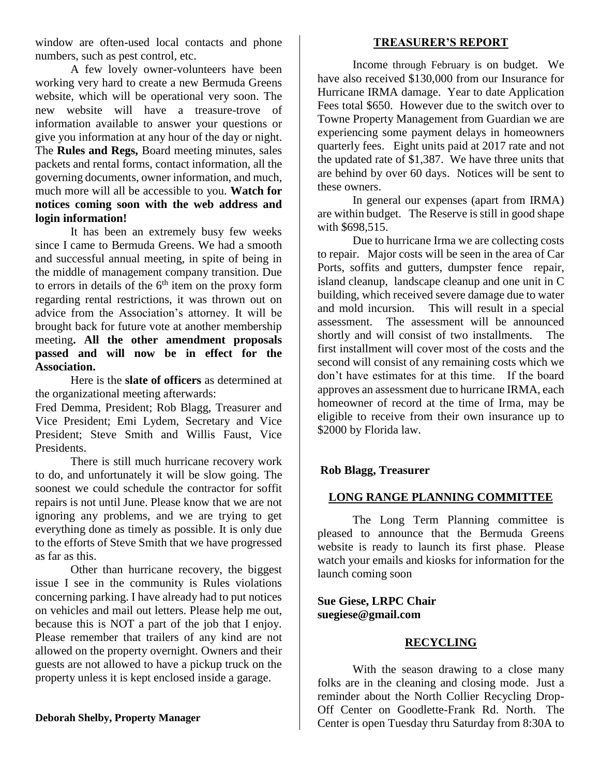window are often-used local contacts and phone numbers, such as pest control, etc.

A few lovely owner-volunteers have been working very hard to create a new Bermuda Greens website, which will be operational very soon. The new website will have a treasure-trove of information available to answer your questions or give you information at any hour of the day or night. The **Rules and Regs,** Board meeting minutes, sales packets and rental forms, contact information, all the governing documents, owner information, and much, much more will all be accessible to you. **Watch for notices coming soon with the web address and login information!** 

It has been an extremely busy few weeks since I came to Bermuda Greens. We had a smooth and successful annual meeting, in spite of being in the middle of management company transition. Due to errors in details of the  $6<sup>th</sup>$  item on the proxy form regarding rental restrictions, it was thrown out on advice from the Association's attorney. It will be brought back for future vote at another membership meeting**. All the other amendment proposals passed and will now be in effect for the Association.** 

Here is the **slate of officers** as determined at the organizational meeting afterwards:

Fred Demma, President; Rob Blagg, Treasurer and Vice President; Emi Lydem, Secretary and Vice President; Steve Smith and Willis Faust, Vice Presidents.

There is still much hurricane recovery work to do, and unfortunately it will be slow going. The soonest we could schedule the contractor for soffit repairs is not until June. Please know that we are not ignoring any problems, and we are trying to get everything done as timely as possible. It is only due to the efforts of Steve Smith that we have progressed as far as this.

Other than hurricane recovery, the biggest issue I see in the community is Rules violations concerning parking. I have already had to put notices on vehicles and mail out letters. Please help me out, because this is NOT a part of the job that I enjoy. Please remember that trailers of any kind are not allowed on the property overnight. Owners and their guests are not allowed to have a pickup truck on the property unless it is kept enclosed inside a garage.

## **Deborah Shelby, Property Manager**

## **TREASURER'S REPORT**

Income through February is on budget. We have also received \$130,000 from our Insurance for Hurricane IRMA damage. Year to date Application Fees total \$650. However due to the switch over to Towne Property Management from Guardian we are experiencing some payment delays in homeowners quarterly fees. Eight units paid at 2017 rate and not the updated rate of \$1,387. We have three units that are behind by over 60 days. Notices will be sent to these owners.

In general our expenses (apart from IRMA) are within budget. The Reserve is still in good shape with \$698,515.

Due to hurricane Irma we are collecting costs to repair. Major costs will be seen in the area of Car Ports, soffits and gutters, dumpster fence repair, island cleanup, landscape cleanup and one unit in C building, which received severe damage due to water and mold incursion. This will result in a special assessment. The assessment will be announced shortly and will consist of two installments. The first installment will cover most of the costs and the second will consist of any remaining costs which we don't have estimates for at this time. If the board approves an assessment due to hurricane IRMA, each homeowner of record at the time of Irma, may be eligible to receive from their own insurance up to \$2000 by Florida law.

## **Rob Blagg, Treasurer**

## **LONG RANGE PLANNING COMMITTEE**

The Long Term Planning committee is pleased to announce that the Bermuda Greens website is ready to launch its first phase. Please watch your emails and kiosks for information for the launch coming soon

**Sue Giese, LRPC Chair suegiese@gmail.com**

## **RECYCLING**

With the season drawing to a close many folks are in the cleaning and closing mode. Just a reminder about the North Collier Recycling Drop-Off Center on Goodlette-Frank Rd. North. The Center is open Tuesday thru Saturday from 8:30A to